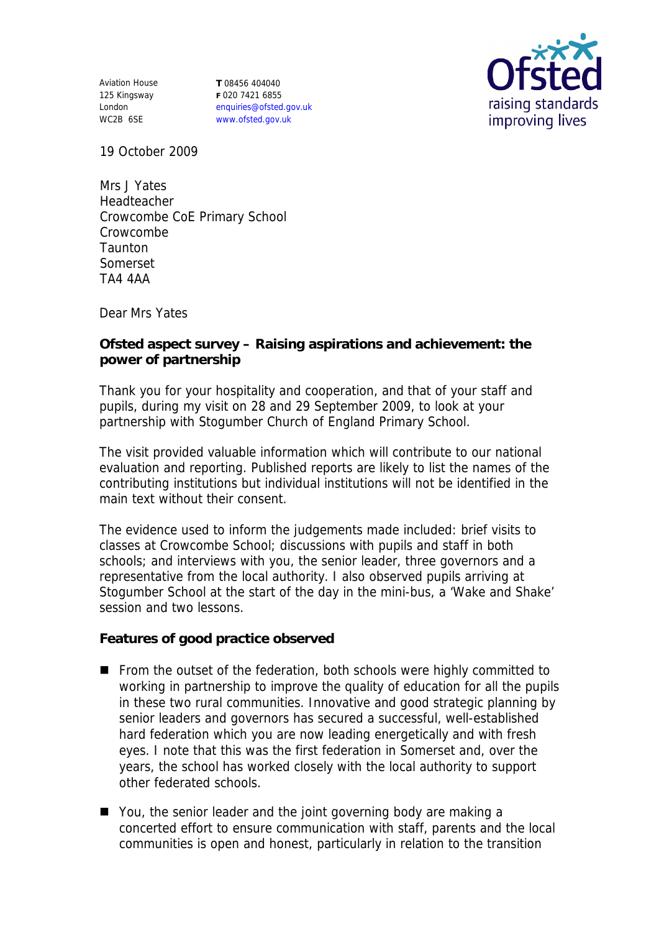Aviation House 125 Kingsway London WC2B 6SE

**T** 08456 404040 **F** 020 7421 6855 enquiries@ofsted.gov.uk www.ofsted.gov.uk



19 October 2009

Mrs J Yates Headteacher Crowcombe CoE Primary School Crowcombe **Taunton** Somerset TA4 4AA

Dear Mrs Yates

**Ofsted aspect survey – Raising aspirations and achievement: the power of partnership** 

Thank you for your hospitality and cooperation, and that of your staff and pupils, during my visit on 28 and 29 September 2009, to look at your partnership with Stogumber Church of England Primary School.

The visit provided valuable information which will contribute to our national evaluation and reporting. Published reports are likely to list the names of the contributing institutions but individual institutions will not be identified in the main text without their consent.

The evidence used to inform the judgements made included: brief visits to classes at Crowcombe School; discussions with pupils and staff in both schools; and interviews with you, the senior leader, three governors and a representative from the local authority. I also observed pupils arriving at Stogumber School at the start of the day in the mini-bus, a 'Wake and Shake' session and two lessons.

**Features of good practice observed**

- From the outset of the federation, both schools were highly committed to working in partnership to improve the quality of education for all the pupils in these two rural communities. Innovative and good strategic planning by senior leaders and governors has secured a successful, well-established hard federation which you are now leading energetically and with fresh eyes. I note that this was the first federation in Somerset and, over the years, the school has worked closely with the local authority to support other federated schools.
- You, the senior leader and the joint governing body are making a concerted effort to ensure communication with staff, parents and the local communities is open and honest, particularly in relation to the transition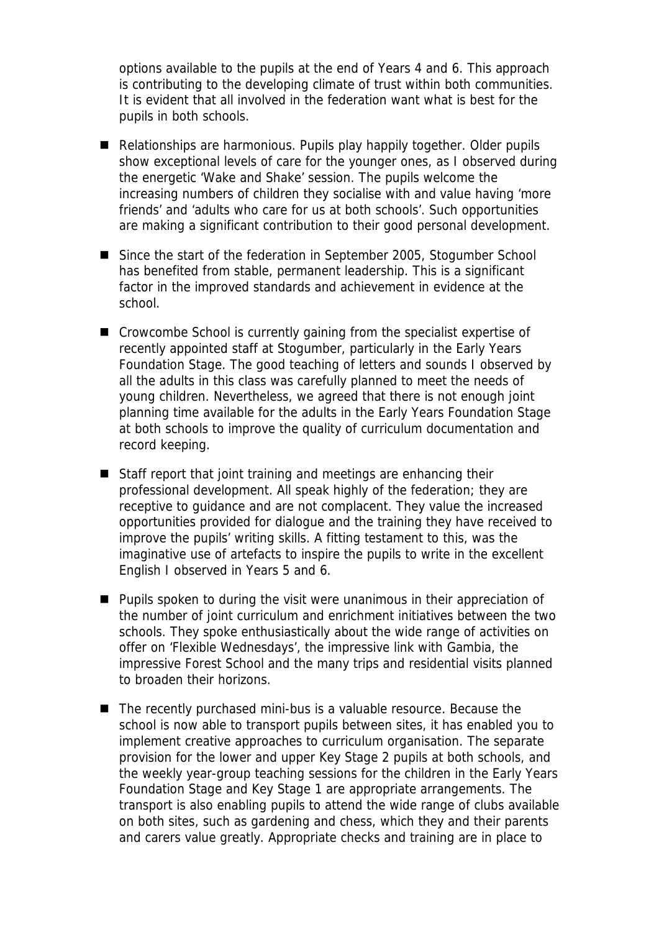options available to the pupils at the end of Years 4 and 6. This approach is contributing to the developing climate of trust within both communities. It is evident that all involved in the federation want what is best for the pupils in both schools.

- Relationships are harmonious. Pupils play happily together. Older pupils show exceptional levels of care for the younger ones, as I observed during the energetic 'Wake and Shake' session. The pupils welcome the increasing numbers of children they socialise with and value having 'more friends' and 'adults who care for us at both schools'. Such opportunities are making a significant contribution to their good personal development.
- Since the start of the federation in September 2005, Stogumber School has benefited from stable, permanent leadership. This is a significant factor in the improved standards and achievement in evidence at the school.
- Crowcombe School is currently gaining from the specialist expertise of recently appointed staff at Stogumber, particularly in the Early Years Foundation Stage. The good teaching of letters and sounds I observed by all the adults in this class was carefully planned to meet the needs of young children. Nevertheless, we agreed that there is not enough joint planning time available for the adults in the Early Years Foundation Stage at both schools to improve the quality of curriculum documentation and record keeping.
- Staff report that joint training and meetings are enhancing their professional development. All speak highly of the federation; they are receptive to guidance and are not complacent. They value the increased opportunities provided for dialogue and the training they have received to improve the pupils' writing skills. A fitting testament to this, was the imaginative use of artefacts to inspire the pupils to write in the excellent English I observed in Years 5 and 6.
- **Pupils spoken to during the visit were unanimous in their appreciation of** the number of joint curriculum and enrichment initiatives between the two schools. They spoke enthusiastically about the wide range of activities on offer on 'Flexible Wednesdays', the impressive link with Gambia, the impressive Forest School and the many trips and residential visits planned to broaden their horizons.
- The recently purchased mini-bus is a valuable resource. Because the school is now able to transport pupils between sites, it has enabled you to implement creative approaches to curriculum organisation. The separate provision for the lower and upper Key Stage 2 pupils at both schools, and the weekly year-group teaching sessions for the children in the Early Years Foundation Stage and Key Stage 1 are appropriate arrangements. The transport is also enabling pupils to attend the wide range of clubs available on both sites, such as gardening and chess, which they and their parents and carers value greatly. Appropriate checks and training are in place to